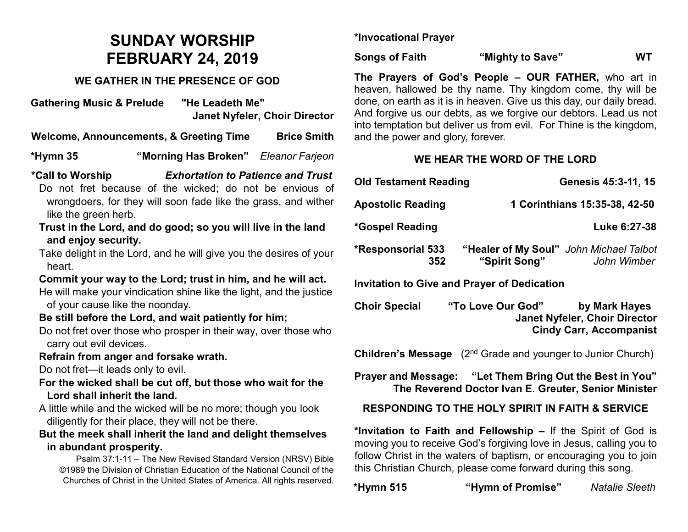# **SUNDAY WORSHIP FEBRUARY 24, 2019**

#### **WE GATHER IN THE PRESENCE OF GOD**

**Gathering Music & Prelude "He Leadeth Me" Janet Nyfeler, Choir Director**

**Welcome, Announcements, & Greeting Time Brice Smith**

**\*Hymn 35 "Morning Has Broken"** *Eleanor Farjeon*

**\*Call to Worship** *Exhortation to Patience and Trust* Do not fret because of the wicked; do not be envious of

- wrongdoers, for they will soon fade like the grass, and wither like the green herb.
- **Trust in the Lord, and do good; so you will live in the land and enjoy security.**
- Take delight in the Lord, and he will give you the desires of your heart.

# **Commit your way to the Lord; trust in him, and he will act.**

He will make your vindication shine like the light, and the justice of your cause like the noonday.

# **Be still before the Lord, and wait patiently for him;**

Do not fret over those who prosper in their way, over those who carry out evil devices.

#### **Refrain from anger and forsake wrath.**

Do not fret—it leads only to evil.

- **For the wicked shall be cut off, but those who wait for the Lord shall inherit the land.**
- A little while and the wicked will be no more; though you look diligently for their place, they will not be there.
- **But the meek shall inherit the land and delight themselves in abundant prosperity.**

Psalm 37:1-11 – The New Revised Standard Version (NRSV) Bible ©1989 the Division of Christian Education of the National Council of the Churches of Christ in the United States of America. All rights reserved.

**\*Invocational Prayer**

**Songs of Faith "Mighty to Save" WT**

**The Prayers of God's People – OUR FATHER,** who art in heaven, hallowed be thy name. Thy kingdom come, thy will be done, on earth as it is in heaven. Give us this day, our daily bread. And forgive us our debts, as we forgive our debtors. Lead us not into temptation but deliver us from evil. For Thine is the kingdom, and the power and glory, forever.

# **WE HEAR THE WORD OF THE LORD**

| <b>Old Testament Reading</b>    |                                                                         | Genesis 45:3-11, 15 |  |
|---------------------------------|-------------------------------------------------------------------------|---------------------|--|
| <b>Apostolic Reading</b>        | 1 Corinthians 15:35-38, 42-50                                           |                     |  |
| *Gospel Reading                 | Luke 6:27-38                                                            |                     |  |
| <b>*Responsorial 533</b><br>352 | "Healer of My Soul" John Michael Talbot<br>"Spirit Song"<br>John Wimber |                     |  |

**Invitation to Give and Prayer of Dedication** 

**Choir Special "To Love Our God" by Mark Hayes Janet Nyfeler, Choir Director Cindy Carr, Accompanist**

**Children's Message** (2<sup>nd</sup> Grade and younger to Junior Church)

**Prayer and Message: "Let Them Bring Out the Best in You" The Reverend Doctor Ivan E. Greuter, Senior Minister**

# **RESPONDING TO THE HOLY SPIRIT IN FAITH & SERVICE**

**\*Invitation to Faith and Fellowship –** If the Spirit of God is moving you to receive God's forgiving love in Jesus, calling you to follow Christ in the waters of baptism, or encouraging you to join this Christian Church, please come forward during this song.

| *Hymn 515 | "Hymn of Promise" | <b>Natalie Sleeth</b> |
|-----------|-------------------|-----------------------|
|           |                   |                       |